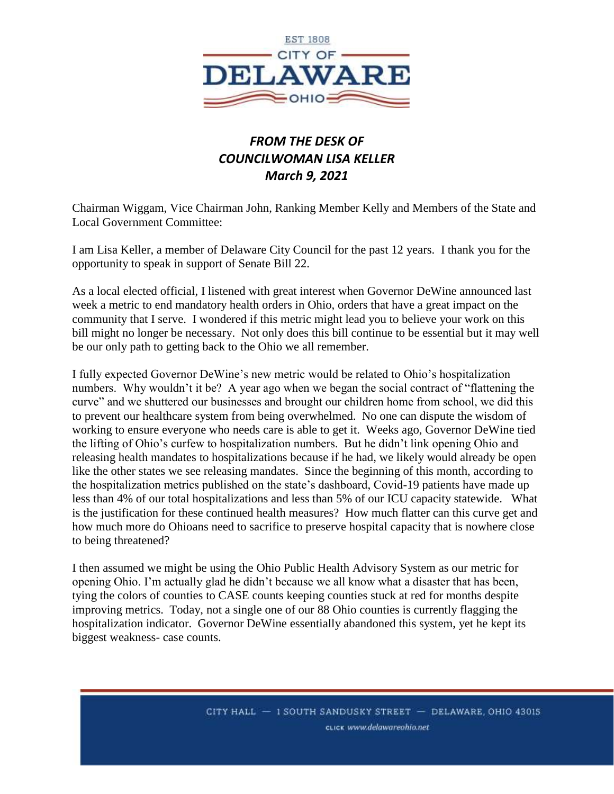

## *FROM THE DESK OF COUNCILWOMAN LISA KELLER March 9, 2021*

Chairman Wiggam, Vice Chairman John, Ranking Member Kelly and Members of the State and Local Government Committee:

I am Lisa Keller, a member of Delaware City Council for the past 12 years. I thank you for the opportunity to speak in support of Senate Bill 22.

As a local elected official, I listened with great interest when Governor DeWine announced last week a metric to end mandatory health orders in Ohio, orders that have a great impact on the community that I serve. I wondered if this metric might lead you to believe your work on this bill might no longer be necessary. Not only does this bill continue to be essential but it may well be our only path to getting back to the Ohio we all remember.

I fully expected Governor DeWine's new metric would be related to Ohio's hospitalization numbers. Why wouldn't it be? A year ago when we began the social contract of "flattening the curve" and we shuttered our businesses and brought our children home from school, we did this to prevent our healthcare system from being overwhelmed. No one can dispute the wisdom of working to ensure everyone who needs care is able to get it. Weeks ago, Governor DeWine tied the lifting of Ohio's curfew to hospitalization numbers. But he didn't link opening Ohio and releasing health mandates to hospitalizations because if he had, we likely would already be open like the other states we see releasing mandates. Since the beginning of this month, according to the hospitalization metrics published on the state's dashboard, Covid-19 patients have made up less than 4% of our total hospitalizations and less than 5% of our ICU capacity statewide. What is the justification for these continued health measures? How much flatter can this curve get and how much more do Ohioans need to sacrifice to preserve hospital capacity that is nowhere close to being threatened?

I then assumed we might be using the Ohio Public Health Advisory System as our metric for opening Ohio. I'm actually glad he didn't because we all know what a disaster that has been, tying the colors of counties to CASE counts keeping counties stuck at red for months despite improving metrics. Today, not a single one of our 88 Ohio counties is currently flagging the hospitalization indicator. Governor DeWine essentially abandoned this system, yet he kept its biggest weakness- case counts.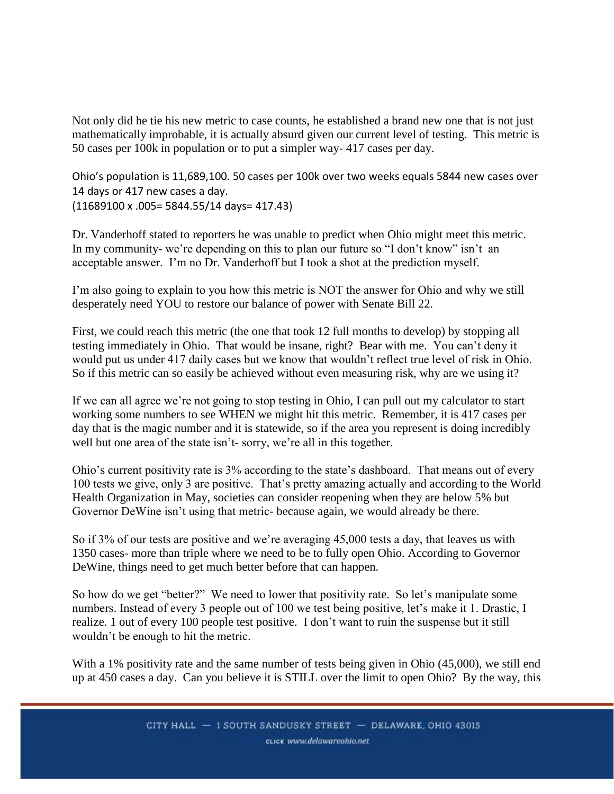Not only did he tie his new metric to case counts, he established a brand new one that is not just mathematically improbable, it is actually absurd given our current level of testing. This metric is 50 cases per 100k in population or to put a simpler way- 417 cases per day.

Ohio's population is 11,689,100. 50 cases per 100k over two weeks equals 5844 new cases over 14 days or 417 new cases a day. (11689100 x .005= 5844.55/14 days= 417.43)

Dr. Vanderhoff stated to reporters he was unable to predict when Ohio might meet this metric. In my community- we're depending on this to plan our future so "I don't know" isn't an acceptable answer. I'm no Dr. Vanderhoff but I took a shot at the prediction myself.

I'm also going to explain to you how this metric is NOT the answer for Ohio and why we still desperately need YOU to restore our balance of power with Senate Bill 22.

First, we could reach this metric (the one that took 12 full months to develop) by stopping all testing immediately in Ohio. That would be insane, right? Bear with me. You can't deny it would put us under 417 daily cases but we know that wouldn't reflect true level of risk in Ohio. So if this metric can so easily be achieved without even measuring risk, why are we using it?

If we can all agree we're not going to stop testing in Ohio, I can pull out my calculator to start working some numbers to see WHEN we might hit this metric. Remember, it is 417 cases per day that is the magic number and it is statewide, so if the area you represent is doing incredibly well but one area of the state isn't- sorry, we're all in this together.

Ohio's current positivity rate is 3% according to the state's dashboard. That means out of every 100 tests we give, only 3 are positive. That's pretty amazing actually and according to the World Health Organization in May, societies can consider reopening when they are below 5% but Governor DeWine isn't using that metric- because again, we would already be there.

So if 3% of our tests are positive and we're averaging 45,000 tests a day, that leaves us with 1350 cases- more than triple where we need to be to fully open Ohio. According to Governor DeWine, things need to get much better before that can happen.

So how do we get "better?" We need to lower that positivity rate. So let's manipulate some numbers. Instead of every 3 people out of 100 we test being positive, let's make it 1. Drastic, I realize. 1 out of every 100 people test positive. I don't want to ruin the suspense but it still wouldn't be enough to hit the metric.

With a 1% positivity rate and the same number of tests being given in Ohio (45,000), we still end up at 450 cases a day. Can you believe it is STILL over the limit to open Ohio? By the way, this